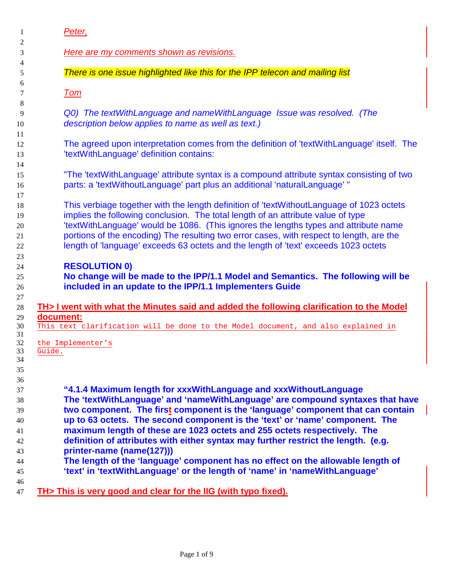| 1                                            | Peter,                                                                                                                                                                                                                                                                                                                                                                                                                                                                                                              |
|----------------------------------------------|---------------------------------------------------------------------------------------------------------------------------------------------------------------------------------------------------------------------------------------------------------------------------------------------------------------------------------------------------------------------------------------------------------------------------------------------------------------------------------------------------------------------|
| 2<br>3                                       | <b>Here are my comments shown as revisions.</b>                                                                                                                                                                                                                                                                                                                                                                                                                                                                     |
| 4                                            |                                                                                                                                                                                                                                                                                                                                                                                                                                                                                                                     |
| 5                                            | There is one issue highlighted like this for the IPP telecon and mailing list                                                                                                                                                                                                                                                                                                                                                                                                                                       |
| 6<br>7                                       | <u>Tom</u>                                                                                                                                                                                                                                                                                                                                                                                                                                                                                                          |
| 8<br>9<br>10                                 | Q0) The textWithLanguage and nameWithLanguage Issue was resolved. (The<br>description below applies to name as well as text.)                                                                                                                                                                                                                                                                                                                                                                                       |
| 11<br>12<br>13                               | The agreed upon interpretation comes from the definition of 'textWithLanguage' itself. The<br>'textWithLanguage' definition contains:                                                                                                                                                                                                                                                                                                                                                                               |
| 14<br>15<br>16                               | "The 'textWithLanguage' attribute syntax is a compound attribute syntax consisting of two<br>parts: a 'textWithoutLanguage' part plus an additional 'naturalLanguage' "                                                                                                                                                                                                                                                                                                                                             |
| 17<br>18<br>19<br>20<br>21<br>22             | This verbiage together with the length definition of 'textWithoutLanguage of 1023 octets<br>implies the following conclusion. The total length of an attribute value of type<br>'textWithLanguage' would be 1086. (This ignores the lengths types and attribute name<br>portions of the encoding) The resulting two error cases, with respect to length, are the<br>length of 'language' exceeds 63 octets and the length of 'text' exceeds 1023 octets                                                             |
| 23<br>24<br>25<br>26                         | <b>RESOLUTION 0)</b><br>No change will be made to the IPP/1.1 Model and Semantics. The following will be<br>included in an update to the IPP/1.1 Implementers Guide                                                                                                                                                                                                                                                                                                                                                 |
| 27<br>28                                     | TH> I went with what the Minutes said and added the following clarification to the Model                                                                                                                                                                                                                                                                                                                                                                                                                            |
| 29<br>30                                     | document:<br>This text clarification will be done to the Model document, and also explained in                                                                                                                                                                                                                                                                                                                                                                                                                      |
| 31<br>32<br>33<br>34<br>35                   | the Implementer's<br>Guide.                                                                                                                                                                                                                                                                                                                                                                                                                                                                                         |
| 36<br>37<br>38<br>39<br>40<br>41<br>42<br>43 | "4.1.4 Maximum length for xxxWithLanguage and xxxWithoutLanguage<br>The 'textWithLanguage' and 'nameWithLanguage' are compound syntaxes that have<br>two component. The first component is the 'language' component that can contain<br>up to 63 octets. The second component is the 'text' or 'name' component. The<br>maximum length of these are 1023 octets and 255 octets respectively. The<br>definition of attributes with either syntax may further restrict the length. (e.g.<br>printer-name (name(127))) |
| 44<br>45                                     | The length of the 'language' component has no effect on the allowable length of<br>'text' in 'textWithLanguage' or the length of 'name' in 'nameWithLanguage'                                                                                                                                                                                                                                                                                                                                                       |
| 46<br>47                                     | TH> This is very good and clear for the IIG (with typo fixed).                                                                                                                                                                                                                                                                                                                                                                                                                                                      |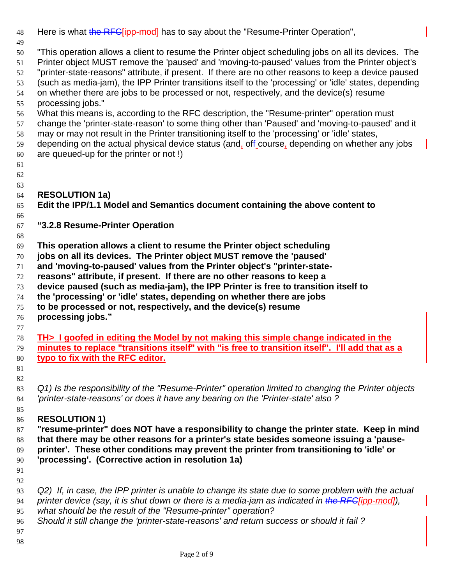| 48       | Here is what the RFC[ipp-mod] has to say about the "Resume-Printer Operation",                                                                                                                          |
|----------|---------------------------------------------------------------------------------------------------------------------------------------------------------------------------------------------------------|
| 49<br>50 | "This operation allows a client to resume the Printer object scheduling jobs on all its devices. The                                                                                                    |
| 51<br>52 | Printer object MUST remove the 'paused' and 'moving-to-paused' values from the Printer object's<br>"printer-state-reasons" attribute, if present. If there are no other reasons to keep a device paused |
| 53       | (such as media-jam), the IPP Printer transitions itself to the 'processing' or 'idle' states, depending                                                                                                 |
| 54       | on whether there are jobs to be processed or not, respectively, and the device(s) resume                                                                                                                |
| 55       | processing jobs."                                                                                                                                                                                       |
| 56       | What this means is, according to the RFC description, the "Resume-printer" operation must                                                                                                               |
| 57<br>58 | change the 'printer-state-reason' to some thing other than 'Paused' and 'moving-to-paused' and it<br>may or may not result in the Printer transitioning itself to the 'processing' or 'idle' states,    |
| 59       | depending on the actual physical device status (and, off course, depending on whether any jobs                                                                                                          |
| 60       | are queued-up for the printer or not!)                                                                                                                                                                  |
| 61<br>62 |                                                                                                                                                                                                         |
| 63       |                                                                                                                                                                                                         |
| 64       | <b>RESOLUTION 1a)</b>                                                                                                                                                                                   |
| 65       | Edit the IPP/1.1 Model and Semantics document containing the above content to                                                                                                                           |
| 66       |                                                                                                                                                                                                         |
| 67       | "3.2.8 Resume-Printer Operation                                                                                                                                                                         |
| 68<br>69 | This operation allows a client to resume the Printer object scheduling                                                                                                                                  |
| 70       | jobs on all its devices. The Printer object MUST remove the 'paused'                                                                                                                                    |
| 71       | and 'moving-to-paused' values from the Printer object's "printer-state-                                                                                                                                 |
| 72       | reasons" attribute, if present. If there are no other reasons to keep a                                                                                                                                 |
| 73       | device paused (such as media-jam), the IPP Printer is free to transition itself to                                                                                                                      |
| 74       | the 'processing' or 'idle' states, depending on whether there are jobs                                                                                                                                  |
| 75<br>76 | to be processed or not, respectively, and the device(s) resume<br>processing jobs."                                                                                                                     |
| 77       |                                                                                                                                                                                                         |
| 78<br>79 | TH> I goofed in editing the Model by not making this simple change indicated in the<br>minutes to replace "transitions itself" with "is free to transition itself". I'll add that as a                  |
| 80       | typo to fix with the RFC editor.                                                                                                                                                                        |
| 81       |                                                                                                                                                                                                         |
| 82       |                                                                                                                                                                                                         |
| 83       | Q1) Is the responsibility of the "Resume-Printer" operation limited to changing the Printer objects                                                                                                     |
| 84       | 'printer-state-reasons' or does it have any bearing on the 'Printer-state' also?                                                                                                                        |
| 85<br>86 | <b>RESOLUTION 1)</b>                                                                                                                                                                                    |
| 87       | "resume-printer" does NOT have a responsibility to change the printer state. Keep in mind                                                                                                               |
| 88       | that there may be other reasons for a printer's state besides someone issuing a 'pause-                                                                                                                 |
| 89       | printer'. These other conditions may prevent the printer from transitioning to 'idle' or                                                                                                                |
| 90       | 'processing'. (Corrective action in resolution 1a)                                                                                                                                                      |
| 91       |                                                                                                                                                                                                         |
| 92<br>93 | Q2) If, in case, the IPP printer is unable to change its state due to some problem with the actual                                                                                                      |
| 94       | printer device (say, it is shut down or there is a media-jam as indicated in the RFC[ipp-mod]),                                                                                                         |
| 95       | what should be the result of the "Resume-printer" operation?                                                                                                                                            |
| 96       | Should it still change the 'printer-state-reasons' and return success or should it fail ?                                                                                                               |
|          |                                                                                                                                                                                                         |
| 97       |                                                                                                                                                                                                         |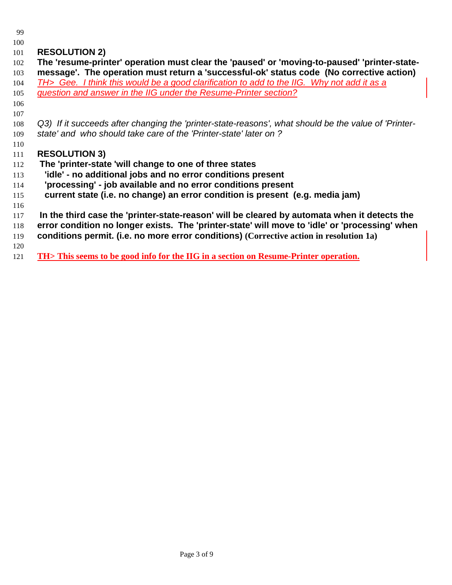## **RESOLUTION 2)**

- **The 'resume-printer' operation must clear the 'paused' or 'moving-to-paused' 'printer-state- message'. The operation must return a 'successful-ok' status code (No corrective action)** *TH> Gee. I think this would be a good clarification to add to the IIG. Why not add it as a question and answer in the IIG under the Resume-Printer section? Q3) If it succeeds after changing the 'printer-state-reasons', what should be the value of 'Printer- state' and who should take care of the 'Printer-state' later on ?* **RESOLUTION 3) The 'printer-state 'will change to one of three states 'idle' - no additional jobs and no error conditions present 'processing' - job available and no error conditions present current state (i.e. no change) an error condition is present (e.g. media jam) In the third case the 'printer-state-reason' will be cleared by automata when it detects the error condition no longer exists. The 'printer-state' will move to 'idle' or 'processing' when**
- **conditions permit. (i.e. no more error conditions) (Corrective action in resolution 1a)**
- 
- **TH> This seems to be good info for the IIG in a section on Resume-Printer operation.**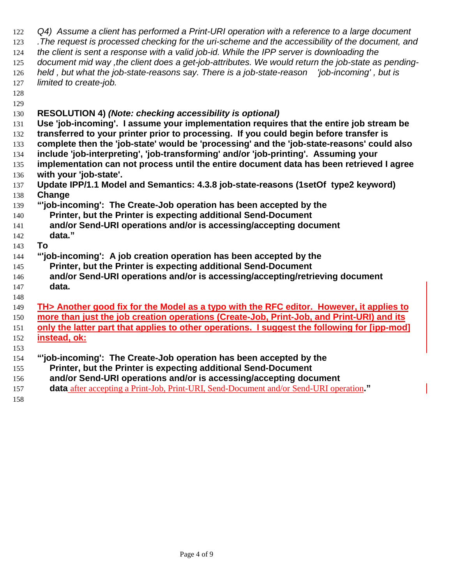| 122 | Q4) Assume a client has performed a Print-URI operation with a reference to a large document       |
|-----|----------------------------------------------------------------------------------------------------|
| 123 | . The request is processed checking for the uri-scheme and the accessibility of the document, and  |
| 124 | the client is sent a response with a valid job-id. While the IPP server is downloading the         |
| 125 | document mid way , the client does a get-job-attributes. We would return the job-state as pending- |
| 126 | held, but what the job-state-reasons say. There is a job-state-reason 'job-incoming', but is       |
| 127 | limited to create-job.                                                                             |
| 128 |                                                                                                    |
| 129 |                                                                                                    |
| 130 | <b>RESOLUTION 4) (Note: checking accessibility is optional)</b>                                    |
| 131 | Use 'job-incoming'. I assume your implementation requires that the entire job stream be            |
| 132 | transferred to your printer prior to processing. If you could begin before transfer is             |
| 133 | complete then the 'job-state' would be 'processing' and the 'job-state-reasons' could also         |
| 134 | include 'job-interpreting', 'job-transforming' and/or 'job-printing'. Assuming your                |
| 135 | implementation can not process until the entire document data has been retrieved I agree           |
| 136 | with your 'job-state'.                                                                             |
| 137 | Update IPP/1.1 Model and Semantics: 4.3.8 job-state-reasons (1setOf type2 keyword)                 |
| 138 | Change                                                                                             |
| 139 | "job-incoming': The Create-Job operation has been accepted by the                                  |
| 140 | Printer, but the Printer is expecting additional Send-Document                                     |
| 141 | and/or Send-URI operations and/or is accessing/accepting document                                  |
| 142 | data."                                                                                             |
| 143 | To                                                                                                 |
| 144 | "job-incoming': A job creation operation has been accepted by the                                  |
| 145 | Printer, but the Printer is expecting additional Send-Document                                     |
| 146 | and/or Send-URI operations and/or is accessing/accepting/retrieving document                       |
| 147 | data.                                                                                              |
| 148 |                                                                                                    |
| 149 | TH> Another good fix for the Model as a typo with the RFC editor. However, it applies to           |
| 150 | more than just the job creation operations (Create-Job, Print-Job, and Print-URI) and its          |
| 151 | only the latter part that applies to other operations. I suggest the following for [ipp-mod]       |
| 152 | instead, ok:                                                                                       |
| 153 |                                                                                                    |
| 154 | "'job-incoming': The Create-Job operation has been accepted by the                                 |
| 155 | Printer, but the Printer is expecting additional Send-Document                                     |
| 156 | and/or Send-URI operations and/or is accessing/accepting document                                  |
| 157 | data after accepting a Print-Job, Print-URI, Send-Document and/or Send-URI operation."             |
| 158 |                                                                                                    |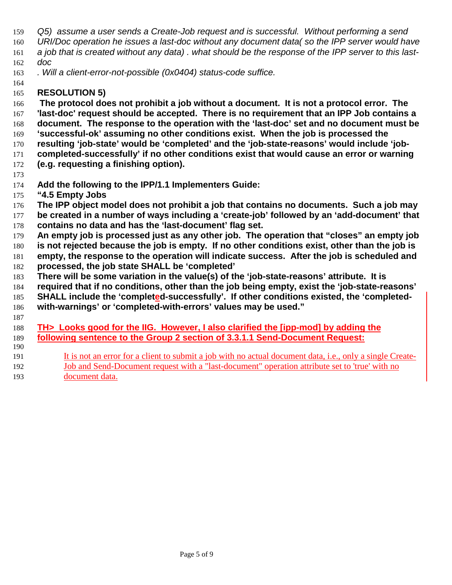- *Q5) assume a user sends a Create-Job request and is successful. Without performing a send URI/Doc operation he issues a last-doc without any document data( so the IPP server would have a job that is created without any data) . what should be the response of the IPP server to this last-doc*
- *. Will a client-error-not-possible (0x0404) status-code suffice.*
- **RESOLUTION 5)**

 **The protocol does not prohibit a job without a document. It is not a protocol error. The 'last-doc' request should be accepted. There is no requirement that an IPP Job contains a document. The response to the operation with the 'last-doc' set and no document must be 'successful-ok' assuming no other conditions exist. When the job is processed the**

- **resulting 'job-state' would be 'completed' and the 'job-state-reasons' would include 'job-**
- **completed-successfully' if no other conditions exist that would cause an error or warning (e.g. requesting a finishing option).**
- 

**Add the following to the IPP/1.1 Implementers Guide:**

- **"4.5 Empty Jobs**
- **The IPP object model does not prohibit a job that contains no documents. Such a job may**
- **be created in a number of ways including a 'create-job' followed by an 'add-document' that contains no data and has the 'last-document' flag set.**
- **An empty job is processed just as any other job. The operation that "closes" an empty job**
- **is not rejected because the job is empty. If no other conditions exist, other than the job is**
- **empty, the response to the operation will indicate success. After the job is scheduled and processed, the job state SHALL be 'completed'**
- **There will be some variation in the value(s) of the 'job-state-reasons' attribute. It is**
- **required that if no conditions, other than the job being empty, exist the 'job-state-reasons'**
- **SHALL include the 'completed-successfully'. If other conditions existed, the 'completed-**
- **with-warnings' or 'completed-with-errors' values may be used."**
- 
- **TH> Looks good for the IIG. However, I also clarified the [ipp-mod] by adding the following sentence to the Group 2 section of 3.3.1.1 Send-Document Request:**
- It is not an error for a client to submit a job with no actual document data, i.e., only a single Create-192 Job and Send-Document request with a "last-document" operation attribute set to 'true' with no
- document data.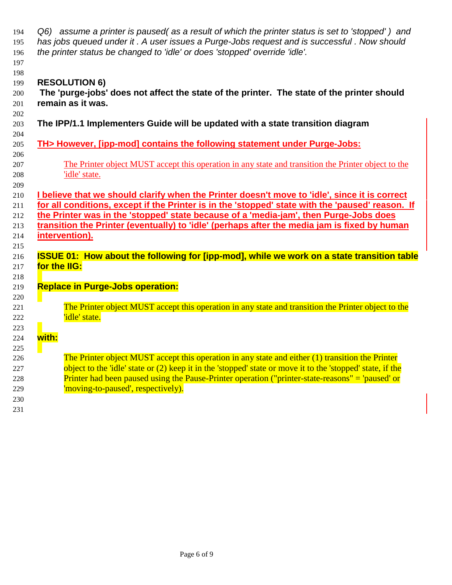| 194 | Q6) assume a printer is paused (as a result of which the printer status is set to 'stopped') and           |
|-----|------------------------------------------------------------------------------------------------------------|
| 195 | has jobs queued under it. A user issues a Purge-Jobs request and is successful. Now should                 |
| 196 | the printer status be changed to 'idle' or does 'stopped' override 'idle'.                                 |
| 197 |                                                                                                            |
| 198 |                                                                                                            |
| 199 | <b>RESOLUTION 6)</b>                                                                                       |
| 200 | The 'purge-jobs' does not affect the state of the printer. The state of the printer should                 |
| 201 | remain as it was.                                                                                          |
| 202 |                                                                                                            |
| 203 | The IPP/1.1 Implementers Guide will be updated with a state transition diagram                             |
| 204 |                                                                                                            |
| 205 | TH> However, [ipp-mod] contains the following statement under Purge-Jobs:                                  |
| 206 |                                                                                                            |
| 207 | The Printer object MUST accept this operation in any state and transition the Printer object to the        |
| 208 | 'idle' state.                                                                                              |
| 209 |                                                                                                            |
| 210 | I believe that we should clarify when the Printer doesn't move to 'idle', since it is correct              |
| 211 | for all conditions, except if the Printer is in the 'stopped' state with the 'paused' reason. If           |
| 212 | the Printer was in the 'stopped' state because of a 'media-jam', then Purge-Jobs does                      |
| 213 | transition the Printer (eventually) to 'idle' (perhaps after the media jam is fixed by human               |
| 214 | intervention).                                                                                             |
| 215 |                                                                                                            |
| 216 | <b>ISSUE 01: How about the following for [ipp-mod], while we work on a state transition table</b>          |
| 217 | for the IIG:                                                                                               |
| 218 |                                                                                                            |
| 219 | <b>Replace in Purge-Jobs operation:</b>                                                                    |
| 220 |                                                                                                            |
| 221 | The Printer object MUST accept this operation in any state and transition the Printer object to the        |
| 222 | 'idle' state.                                                                                              |
| 223 |                                                                                                            |
| 224 | with:                                                                                                      |
| 225 |                                                                                                            |
| 226 | The Printer object MUST accept this operation in any state and either (1) transition the Printer           |
| 227 | object to the 'idle' state or (2) keep it in the 'stopped' state or move it to the 'stopped' state, if the |
| 228 | Printer had been paused using the Pause-Printer operation ("printer-state-reasons" = 'paused' or           |
| 229 | 'moving-to-paused', respectively).                                                                         |
| 230 |                                                                                                            |
| 231 |                                                                                                            |
|     |                                                                                                            |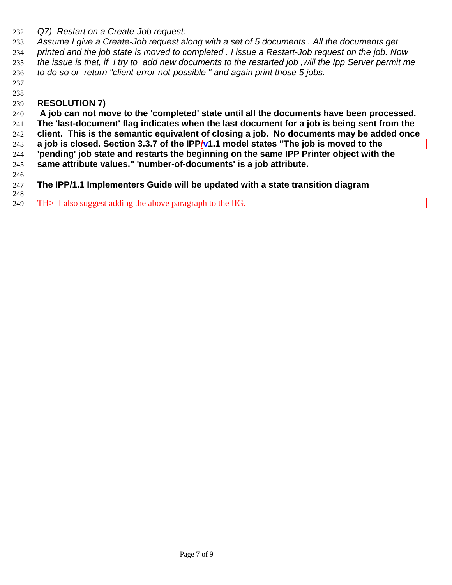*Q7) Restart on a Create-Job request:*

 *Assume I give a Create-Job request along with a set of 5 documents . All the documents get printed and the job state is moved to completed . I issue a Restart-Job request on the job. Now the issue is that, if I try to add new documents to the restarted job ,will the Ipp Server permit me to do so or return "client-error-not-possible " and again print those 5 jobs.*

 

## **RESOLUTION 7)**

 **A job can not move to the 'completed' state until all the documents have been processed. The 'last-document' flag indicates when the last document for a job is being sent from the client. This is the semantic equivalent of closing a job. No documents may be added once a job is closed. Section 3.3.7 of the IPP/v1.1 model states "The job is moved to the 'pending' job state and restarts the beginning on the same IPP Printer object with the same attribute values." 'number-of-documents' is a job attribute.**

- **The IPP/1.1 Implementers Guide will be updated with a state transition diagram**
- TH> I also suggest adding the above paragraph to the IIG.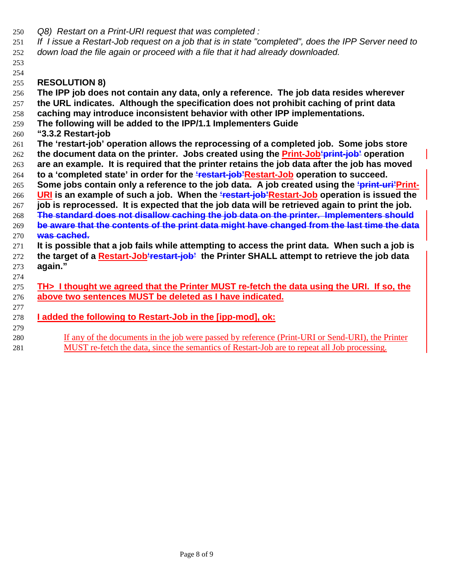- *Q8) Restart on a Print-URI request that was completed :*
- *If I issue a Restart-Job request on a job that is in state "completed", does the IPP Server need to down load the file again or proceed with a file that it had already downloaded.*

## **RESOLUTION 8)**

 

 **The IPP job does not contain any data, only a reference. The job data resides wherever the URL indicates. Although the specification does not prohibit caching of print data caching may introduce inconsistent behavior with other IPP implementations. The following will be added to the IPP/1.1 Implementers Guide "3.3.2 Restart-job The 'restart-job' operation allows the reprocessing of a completed job. Some jobs store the document data on the printer. Jobs created using the Print-Job'print-job' operation are an example. It is required that the printer retains the job data after the job has moved to a 'completed state' in order for the 'restart-job'Restart-Job operation to succeed. Some jobs contain only a reference to the job data. A job created using the 'print-uri'Print- URI is an example of such a job. When the 'restart-job'Restart-Job operation is issued the job is reprocessed. It is expected that the job data will be retrieved again to print the job. The standard does not disallow caching the job data on the printer. Implementers should be aware that the contents of the print data might have changed from the last time the data was cached. It is possible that a job fails while attempting to access the print data. When such a job is the target of a Restart-Job'restart-job' the Printer SHALL attempt to retrieve the job data again." TH> I thought we agreed that the Printer MUST re-fetch the data using the URI. If so, the above two sentences MUST be deleted as I have indicated. I added the following to Restart-Job in the [ipp-mod], ok:** 

 If any of the documents in the job were passed by reference (Print-URI or Send-URI), the Printer MUST re-fetch the data, since the semantics of Restart-Job are to repeat all Job processing.